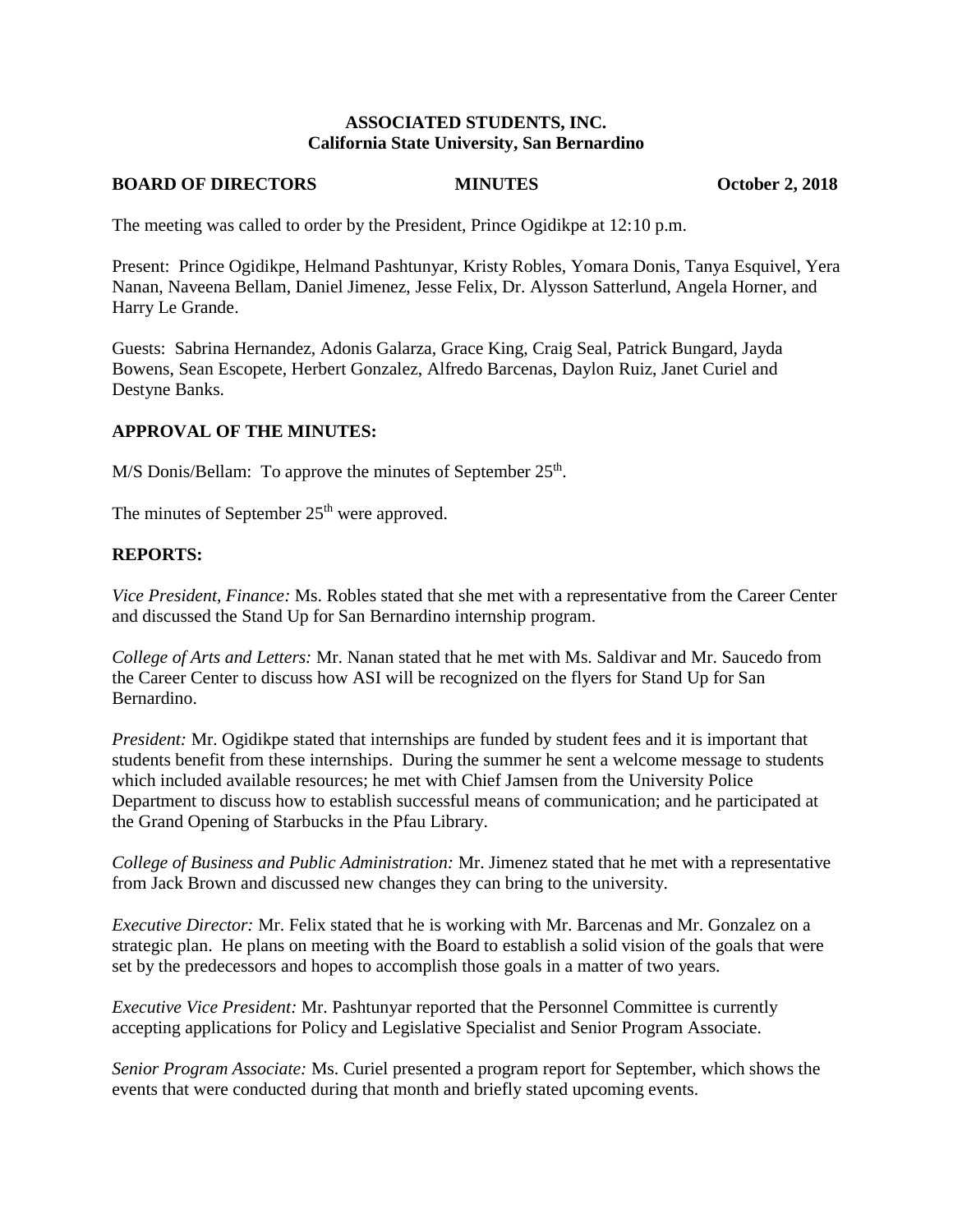## **ASSOCIATED STUDENTS, INC. California State University, San Bernardino**

#### **BOARD OF DIRECTORS** MINUTES October 2, 2018

The meeting was called to order by the President, Prince Ogidikpe at 12:10 p.m.

Present: Prince Ogidikpe, Helmand Pashtunyar, Kristy Robles, Yomara Donis, Tanya Esquivel, Yera Nanan, Naveena Bellam, Daniel Jimenez, Jesse Felix, Dr. Alysson Satterlund, Angela Horner, and Harry Le Grande.

Guests: Sabrina Hernandez, Adonis Galarza, Grace King, Craig Seal, Patrick Bungard, Jayda Bowens, Sean Escopete, Herbert Gonzalez, Alfredo Barcenas, Daylon Ruiz, Janet Curiel and Destyne Banks.

## **APPROVAL OF THE MINUTES:**

 $M/S$  Donis/Bellam: To approve the minutes of September 25<sup>th</sup>.

The minutes of September  $25<sup>th</sup>$  were approved.

### **REPORTS:**

*Vice President, Finance:* Ms. Robles stated that she met with a representative from the Career Center and discussed the Stand Up for San Bernardino internship program.

*College of Arts and Letters:* Mr. Nanan stated that he met with Ms. Saldivar and Mr. Saucedo from the Career Center to discuss how ASI will be recognized on the flyers for Stand Up for San Bernardino.

*President:* Mr. Ogidikpe stated that internships are funded by student fees and it is important that students benefit from these internships. During the summer he sent a welcome message to students which included available resources; he met with Chief Jamsen from the University Police Department to discuss how to establish successful means of communication; and he participated at the Grand Opening of Starbucks in the Pfau Library.

*College of Business and Public Administration:* Mr. Jimenez stated that he met with a representative from Jack Brown and discussed new changes they can bring to the university.

*Executive Director:* Mr. Felix stated that he is working with Mr. Barcenas and Mr. Gonzalez on a strategic plan. He plans on meeting with the Board to establish a solid vision of the goals that were set by the predecessors and hopes to accomplish those goals in a matter of two years.

*Executive Vice President:* Mr. Pashtunyar reported that the Personnel Committee is currently accepting applications for Policy and Legislative Specialist and Senior Program Associate.

*Senior Program Associate:* Ms. Curiel presented a program report for September, which shows the events that were conducted during that month and briefly stated upcoming events.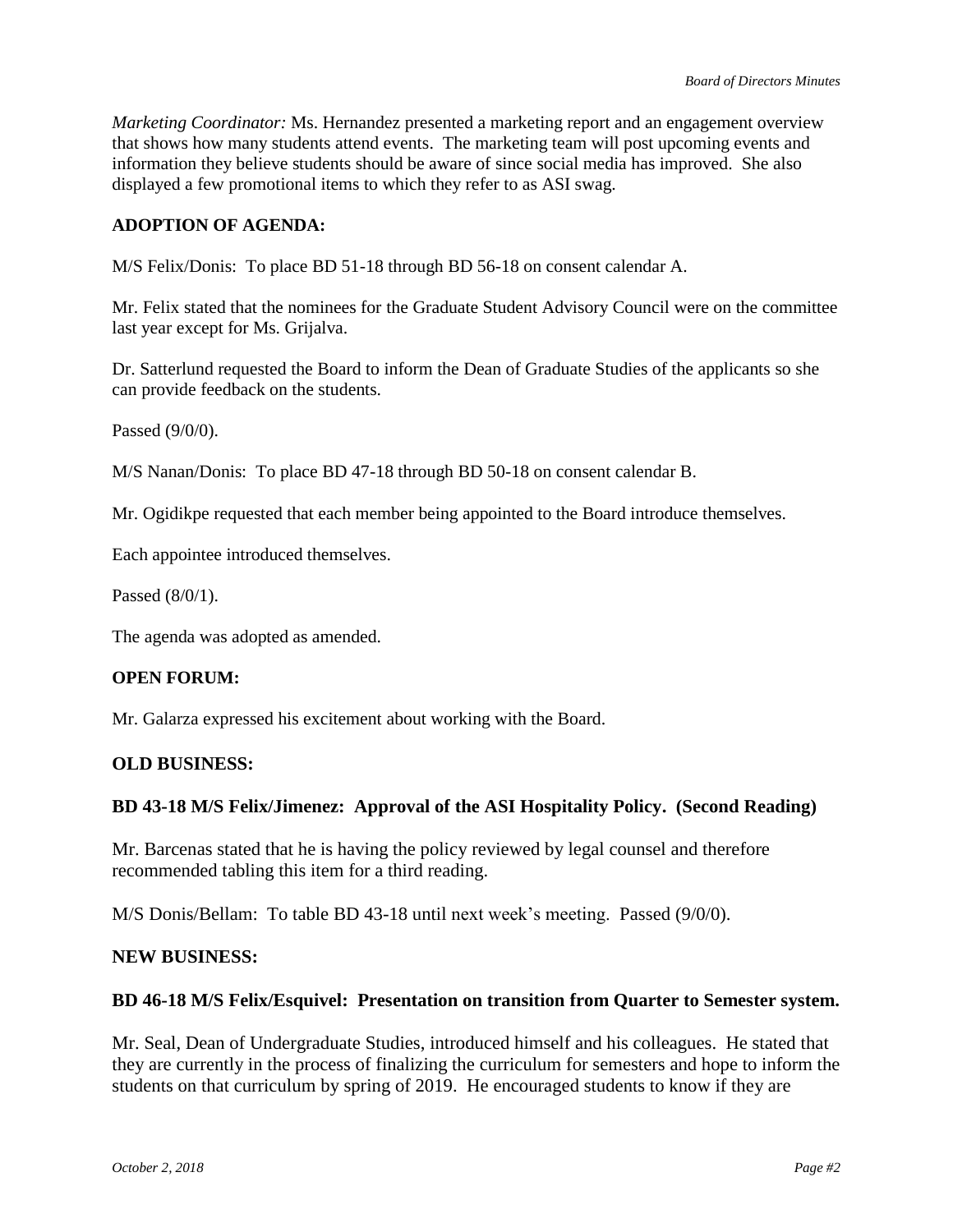*Marketing Coordinator:* Ms. Hernandez presented a marketing report and an engagement overview that shows how many students attend events. The marketing team will post upcoming events and information they believe students should be aware of since social media has improved. She also displayed a few promotional items to which they refer to as ASI swag.

## **ADOPTION OF AGENDA:**

M/S Felix/Donis: To place BD 51-18 through BD 56-18 on consent calendar A.

Mr. Felix stated that the nominees for the Graduate Student Advisory Council were on the committee last year except for Ms. Grijalva.

Dr. Satterlund requested the Board to inform the Dean of Graduate Studies of the applicants so she can provide feedback on the students.

Passed (9/0/0).

M/S Nanan/Donis: To place BD 47-18 through BD 50-18 on consent calendar B.

Mr. Ogidikpe requested that each member being appointed to the Board introduce themselves.

Each appointee introduced themselves.

Passed (8/0/1).

The agenda was adopted as amended.

#### **OPEN FORUM:**

Mr. Galarza expressed his excitement about working with the Board.

#### **OLD BUSINESS:**

#### **BD 43-18 M/S Felix/Jimenez: Approval of the ASI Hospitality Policy. (Second Reading)**

Mr. Barcenas stated that he is having the policy reviewed by legal counsel and therefore recommended tabling this item for a third reading.

M/S Donis/Bellam: To table BD 43-18 until next week's meeting. Passed (9/0/0).

#### **NEW BUSINESS:**

#### **BD 46-18 M/S Felix/Esquivel: Presentation on transition from Quarter to Semester system.**

Mr. Seal, Dean of Undergraduate Studies, introduced himself and his colleagues. He stated that they are currently in the process of finalizing the curriculum for semesters and hope to inform the students on that curriculum by spring of 2019. He encouraged students to know if they are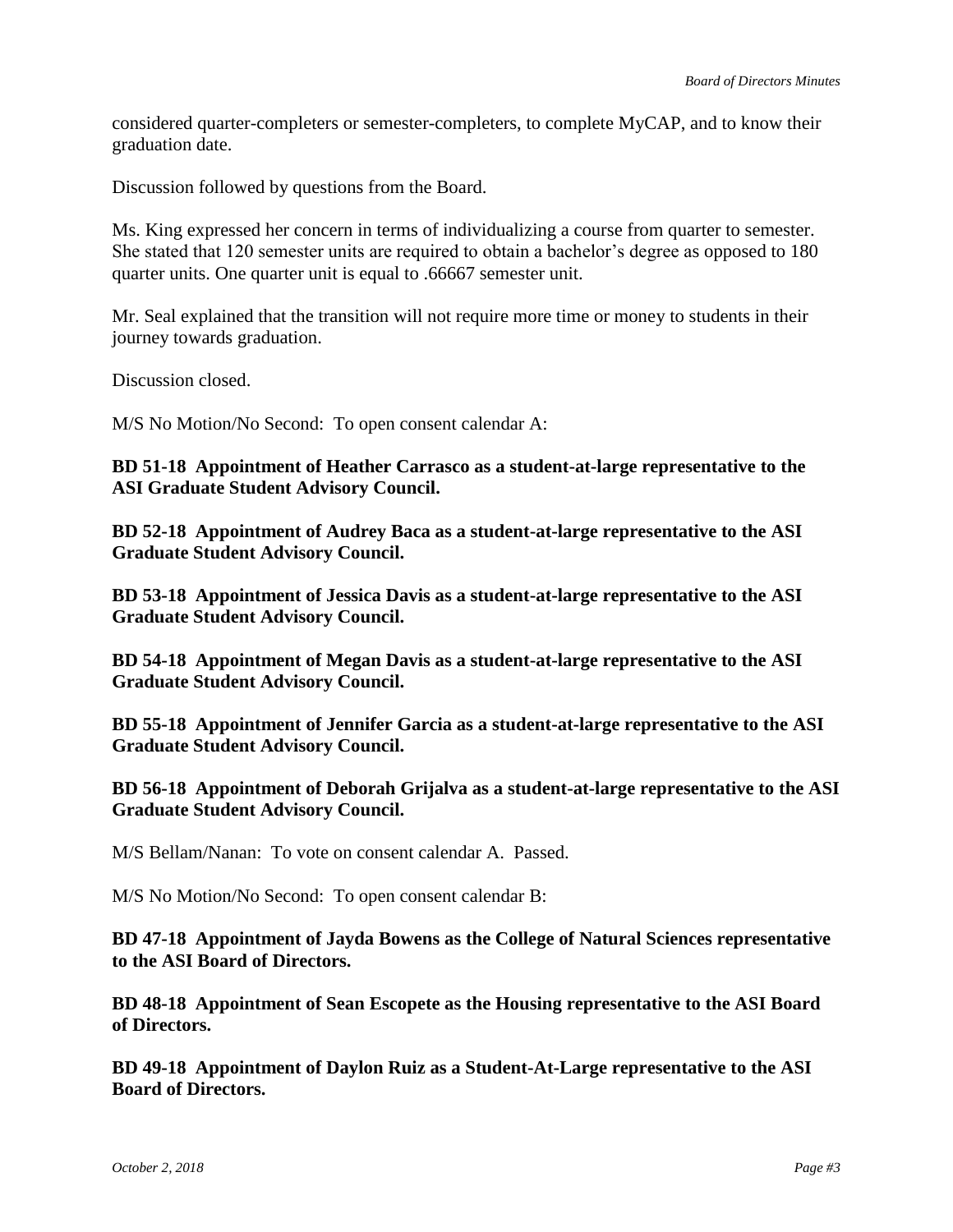considered quarter-completers or semester-completers, to complete MyCAP, and to know their graduation date.

Discussion followed by questions from the Board.

Ms. King expressed her concern in terms of individualizing a course from quarter to semester. She stated that 120 semester units are required to obtain a bachelor's degree as opposed to 180 quarter units. One quarter unit is equal to .66667 semester unit.

Mr. Seal explained that the transition will not require more time or money to students in their journey towards graduation.

Discussion closed.

M/S No Motion/No Second: To open consent calendar A:

**BD 51-18 Appointment of Heather Carrasco as a student-at-large representative to the ASI Graduate Student Advisory Council.** 

**BD 52-18 Appointment of Audrey Baca as a student-at-large representative to the ASI Graduate Student Advisory Council.** 

**BD 53-18 Appointment of Jessica Davis as a student-at-large representative to the ASI Graduate Student Advisory Council.** 

**BD 54-18 Appointment of Megan Davis as a student-at-large representative to the ASI Graduate Student Advisory Council.**

**BD 55-18 Appointment of Jennifer Garcia as a student-at-large representative to the ASI Graduate Student Advisory Council.**

**BD 56-18 Appointment of Deborah Grijalva as a student-at-large representative to the ASI Graduate Student Advisory Council.** 

M/S Bellam/Nanan: To vote on consent calendar A. Passed.

M/S No Motion/No Second: To open consent calendar B:

**BD 47-18 Appointment of Jayda Bowens as the College of Natural Sciences representative to the ASI Board of Directors.** 

**BD 48-18 Appointment of Sean Escopete as the Housing representative to the ASI Board of Directors.** 

**BD 49-18 Appointment of Daylon Ruiz as a Student-At-Large representative to the ASI Board of Directors.**